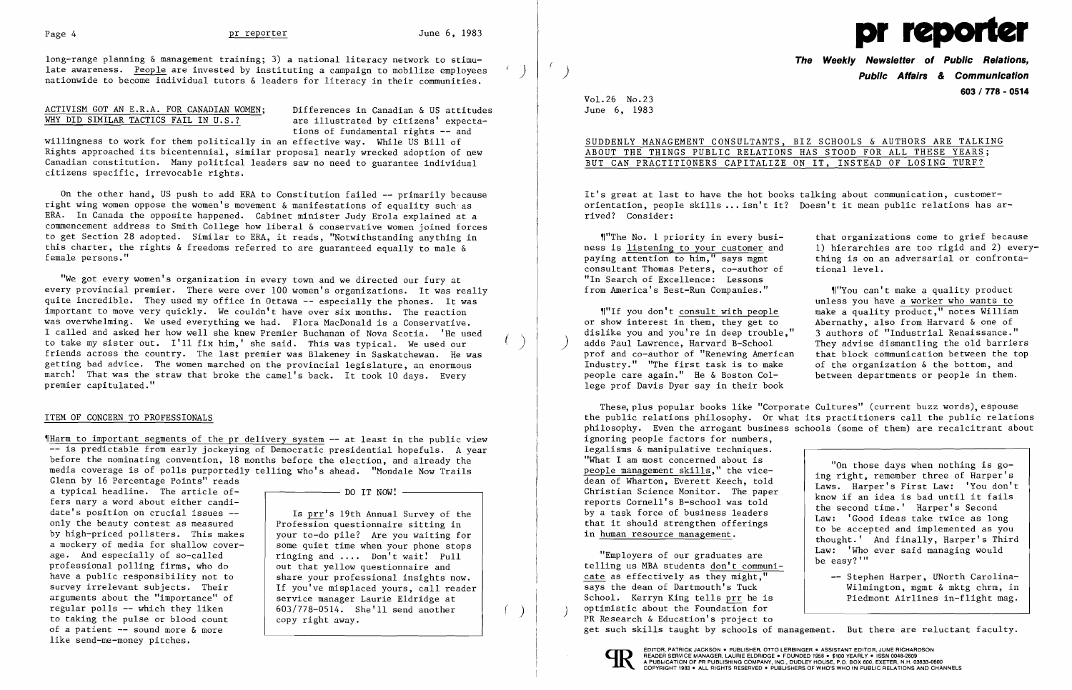long-range planning & management training; 3) a national literacy network to stimu-<br>late awareness. People are invested by instituting a campaign to mobilize employees nationwide to become individual tutors & leaders for literacy in their communities.

## ACTIVISM GOT AN E.R.A. FOR CANADIAN WOMEN; Differences in Canadian & US attitudes<br>WHY DID SIMILAR TACTICS FAIL IN U.S.? are illustrated by citizens' expecta-WHY DID SIMILAR TACTICS FAIL IN  $U.S.$ ?

tions of fundamental rights -- and

willingness to work for them politically in an effective way. While US Bill of Rights approached its bicentennial, similar proposal nearly wrecked adoption of new Canadian constitution. Many political leaders saw no need to guarantee individual citizens specific, irrevocable rights.

On the other hand, US push to add ERA to Constitution failed -- primarily because right wing women oppose the women's movement & manifestations of equality such as ERA. In Canada the opposite happened. Cabinet minister Judy Erola explained at a commencement address to Smith College how liberal & conservative women joined forces to get Section 28 adopted. Similar to ERA, it reads, "Notwithstanding anything in this charter, the rights & freedoms referred to are guaranteed equally to male & female persons."

~IHarm to important segments of the pr delivery system -- at least in the public view -- is predictable from early jockeying of Democratic presidential hopefuls. A year before the nominating convention, 18 months before the election, and already the media coverage is of polls purportedly telling who's ahead. "Mondale Now Trails

"We got every women's organization in every town and we directed our fury at every provincial premier. There were over 100 women's organizations. It was really quite incredible. They used my office in Ottawa -- especially the phones. It was important to move very quickly. We couldn't have over six months. The reaction was overwhelming. We used everything we had. Flora MacDonald is a Conservative. I called and asked her how well she knew Premier Buchanan of Nova Scotia. 'He used to take my sister out. I'll fix him,' she said. This was typical. We used our ( ) friends across the country. The last premier was Blakeney in Saskatchewan. He was getting bad advice. The women marched on the provincial legislature, an enormous march! That was the straw that broke the camel's back. It took 10 days. Every premier capitulated."

### ITEM OF CONCERN TO PROFESSIONALS

unless you have a worker who wants to "If you don't consult with people make a quality product," notes William<br>or show interest in them, they get to Abernathy, also from Harvard & one of Abernathy, also from Harvard & one of<br>3 authors of "Industrial Renaissance." They advise dismantling the old barriers<br>that block communication between the top

Wilmington, mgmt & mktg chrm, in

dislike you and you're in deep trouble,"<br>adds Paul Lawrence, Harvard B-School prof and co-author of "Renewing American that block communication between the top Industry." "The first task is to make of the organization & the bottom, and Industry." "The first task is to make of the organization & the bottom, and people care again." He & Boston Col-<br>people care again." He & Boston Col-<br>between departments or people in them. people care again." He  $\&$  Boston College prof Davis Dyer say in their book

These, plus popular books like "Corporate Cultures" (current buzz words), espouse the public relations philosophy. Or what its practitioners call the public relations philosophy. Even the arrogant business schools (some of them) are recalcitrant about ignoring people factors for numbers, legalisms & manipulative techniques.<br>"What I am most concerned about is What I am most concerned about is<br>
people management skills," the vice-<br>
dean of Wharton, Everett Keech, told<br>
Christian Science Monitor. The paper<br>
reports Cornell's B-school was told<br>
by a task force of business leaders<br> "Employers of our graduates are  $\begin{array}{c|c} \text{Law:} & \text{Who ever said managing would} \\ \text{be easy?} \end{array}$ 

Glenn by 16 Percentage Points" reads a typical headline. The article of  $\overline{---}$   $\overline{---}$  DO IT NOW!  $\overline{---}$ fers nary a word about either candi-<br>date's position on crucial issues -only the beauty contest as measured by high-priced pollsters. This makes a mockery of media for shallow cover age. And especially of so-called professional polling firms, who do have a public responsibility not to survey irrelevant subjects. Their arguments about the "importance" of regular polls -- which they liken regular polls  $-$  which they liken  $\begin{array}{|l|l|} \hline 603/778-0514$ . She'll send another to taking the pulse or blood count  $\end{array}$  copy right away. of a patient -- sound more & more like send-me-money pitches.

Is prr's 19th Annual Survey of the Profession questionnaire sitting in your to-do pile? Are you waiting for some quiet time when your phone stops ringing and .... Don't wait! Pull out that yellow questionnaire and share your professional insights now. If you've misplaced yours, call reader service manager Laurie Eldridge at copy right away.

 $\overline{a}$ 

telling us MBA students don't communicate as effectively as they might,"<br>says the dean of Dartmouth's Tuck -- Stephen Harper, UNorth Carolina-School. Kerryn King tells prr he is Piedmont Airlines in-flight mag. optimistic about the Foundation for<br>PR Research & Education's project to get such skills taught by schools of management. But there are reluctant faculty.





**The Weekly Newsletter of Public Relations,**  ) **Public Affairs & Communication 603 I 778 - 0514** 

VoL26 No.23 June 6, 1983

SUDDENLY MANAGEMENT CONSULTANTS, BIZ SCHOOLS & AUTHORS ARE TALKING

# ABOUT THE THINGS PUBLIC RELATIONS HAS STOOD FOR ALL THESE YEARS; BUT CAN PRACTITIONERS CAPITALIZE ON IT, INSTEAD OF LOSING TURF?

It's great at last to have the hot books talking about communication, customerorientation, people skills •.. isn't it? Doesn't it mean public relations has ar-

The No. 1 priority in every busi-<br>that organizations come to grief because<br>ness is listening to your customer and (1) hierarchies are too rigid and 2) every ness is <u>listening to your customer</u> and <br>paying attention to him," says mgmt thing is on an adversarial or confrontathing is on an adversarial or confronta-<br>tional level.

rived? Consider:

consultant Thomas Peters, co-author of "In Search of Excellence: Lessons from America's Best-Run Companies."  $\parallel$ "You can't make a quality product